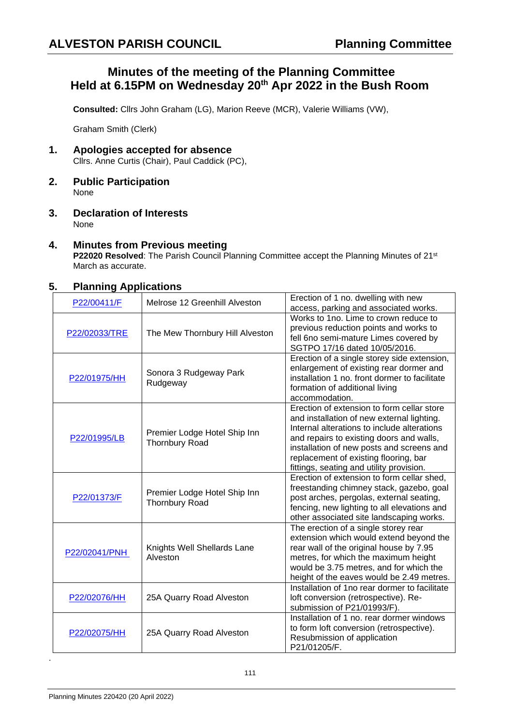# **Minutes of the meeting of the Planning Committee Held at 6.15PM on Wednesday 20th Apr 2022 in the Bush Room**

**Consulted:** Cllrs John Graham (LG), Marion Reeve (MCR), Valerie Williams (VW),

Graham Smith (Clerk)

- **1. Apologies accepted for absence** Cllrs. Anne Curtis (Chair), Paul Caddick (PC),
- **2. Public Participation** None
- **3. Declaration of Interests** None

## **4. Minutes from Previous meeting**

**P22020 Resolved**: The Parish Council Planning Committee accept the Planning Minutes of 21st March as accurate.

## **5. Planning Applications**

| P22/00411/F                                                  | Melrose 12 Greenhill Alveston                         | Erection of 1 no. dwelling with new                                                                                                                                                                                                                                                                                                                                                                                                                                                                                                                                                                                                                                                                                                                                                                                                                                                                      |
|--------------------------------------------------------------|-------------------------------------------------------|----------------------------------------------------------------------------------------------------------------------------------------------------------------------------------------------------------------------------------------------------------------------------------------------------------------------------------------------------------------------------------------------------------------------------------------------------------------------------------------------------------------------------------------------------------------------------------------------------------------------------------------------------------------------------------------------------------------------------------------------------------------------------------------------------------------------------------------------------------------------------------------------------------|
|                                                              |                                                       | access, parking and associated works.                                                                                                                                                                                                                                                                                                                                                                                                                                                                                                                                                                                                                                                                                                                                                                                                                                                                    |
|                                                              |                                                       | Works to 1no. Lime to crown reduce to<br>previous reduction points and works to                                                                                                                                                                                                                                                                                                                                                                                                                                                                                                                                                                                                                                                                                                                                                                                                                          |
| P22/02033/TRE                                                | The Mew Thornbury Hill Alveston                       | fell 6no semi-mature Limes covered by                                                                                                                                                                                                                                                                                                                                                                                                                                                                                                                                                                                                                                                                                                                                                                                                                                                                    |
|                                                              |                                                       | SGTPO 17/16 dated 10/05/2016.                                                                                                                                                                                                                                                                                                                                                                                                                                                                                                                                                                                                                                                                                                                                                                                                                                                                            |
|                                                              |                                                       | Erection of a single storey side extension,                                                                                                                                                                                                                                                                                                                                                                                                                                                                                                                                                                                                                                                                                                                                                                                                                                                              |
|                                                              | Sonora 3 Rudgeway Park<br>Rudgeway                    | enlargement of existing rear dormer and                                                                                                                                                                                                                                                                                                                                                                                                                                                                                                                                                                                                                                                                                                                                                                                                                                                                  |
| P22/01975/HH                                                 |                                                       | installation 1 no. front dormer to facilitate                                                                                                                                                                                                                                                                                                                                                                                                                                                                                                                                                                                                                                                                                                                                                                                                                                                            |
|                                                              |                                                       |                                                                                                                                                                                                                                                                                                                                                                                                                                                                                                                                                                                                                                                                                                                                                                                                                                                                                                          |
|                                                              |                                                       |                                                                                                                                                                                                                                                                                                                                                                                                                                                                                                                                                                                                                                                                                                                                                                                                                                                                                                          |
|                                                              |                                                       |                                                                                                                                                                                                                                                                                                                                                                                                                                                                                                                                                                                                                                                                                                                                                                                                                                                                                                          |
|                                                              |                                                       |                                                                                                                                                                                                                                                                                                                                                                                                                                                                                                                                                                                                                                                                                                                                                                                                                                                                                                          |
|                                                              | Premier Lodge Hotel Ship Inn<br><b>Thornbury Road</b> |                                                                                                                                                                                                                                                                                                                                                                                                                                                                                                                                                                                                                                                                                                                                                                                                                                                                                                          |
|                                                              |                                                       |                                                                                                                                                                                                                                                                                                                                                                                                                                                                                                                                                                                                                                                                                                                                                                                                                                                                                                          |
|                                                              |                                                       |                                                                                                                                                                                                                                                                                                                                                                                                                                                                                                                                                                                                                                                                                                                                                                                                                                                                                                          |
|                                                              |                                                       |                                                                                                                                                                                                                                                                                                                                                                                                                                                                                                                                                                                                                                                                                                                                                                                                                                                                                                          |
|                                                              | Premier Lodge Hotel Ship Inn<br><b>Thornbury Road</b> | Erection of extension to form cellar shed.                                                                                                                                                                                                                                                                                                                                                                                                                                                                                                                                                                                                                                                                                                                                                                                                                                                               |
|                                                              |                                                       | freestanding chimney stack, gazebo, goal                                                                                                                                                                                                                                                                                                                                                                                                                                                                                                                                                                                                                                                                                                                                                                                                                                                                 |
|                                                              |                                                       |                                                                                                                                                                                                                                                                                                                                                                                                                                                                                                                                                                                                                                                                                                                                                                                                                                                                                                          |
|                                                              |                                                       |                                                                                                                                                                                                                                                                                                                                                                                                                                                                                                                                                                                                                                                                                                                                                                                                                                                                                                          |
|                                                              |                                                       |                                                                                                                                                                                                                                                                                                                                                                                                                                                                                                                                                                                                                                                                                                                                                                                                                                                                                                          |
|                                                              | Knights Well Shellards Lane<br>Alveston               |                                                                                                                                                                                                                                                                                                                                                                                                                                                                                                                                                                                                                                                                                                                                                                                                                                                                                                          |
|                                                              |                                                       |                                                                                                                                                                                                                                                                                                                                                                                                                                                                                                                                                                                                                                                                                                                                                                                                                                                                                                          |
|                                                              |                                                       |                                                                                                                                                                                                                                                                                                                                                                                                                                                                                                                                                                                                                                                                                                                                                                                                                                                                                                          |
|                                                              |                                                       |                                                                                                                                                                                                                                                                                                                                                                                                                                                                                                                                                                                                                                                                                                                                                                                                                                                                                                          |
|                                                              |                                                       | height of the eaves would be 2.49 metres.                                                                                                                                                                                                                                                                                                                                                                                                                                                                                                                                                                                                                                                                                                                                                                                                                                                                |
|                                                              |                                                       | Installation of 1no rear dormer to facilitate                                                                                                                                                                                                                                                                                                                                                                                                                                                                                                                                                                                                                                                                                                                                                                                                                                                            |
|                                                              | 25A Quarry Road Alveston                              | loft conversion (retrospective). Re-                                                                                                                                                                                                                                                                                                                                                                                                                                                                                                                                                                                                                                                                                                                                                                                                                                                                     |
|                                                              |                                                       |                                                                                                                                                                                                                                                                                                                                                                                                                                                                                                                                                                                                                                                                                                                                                                                                                                                                                                          |
| P22/02075/HH                                                 | 25A Quarry Road Alveston                              |                                                                                                                                                                                                                                                                                                                                                                                                                                                                                                                                                                                                                                                                                                                                                                                                                                                                                                          |
|                                                              |                                                       |                                                                                                                                                                                                                                                                                                                                                                                                                                                                                                                                                                                                                                                                                                                                                                                                                                                                                                          |
|                                                              |                                                       |                                                                                                                                                                                                                                                                                                                                                                                                                                                                                                                                                                                                                                                                                                                                                                                                                                                                                                          |
| P22/01995/LB<br>P22/01373/F<br>P22/02041/PNH<br>P22/02076/HH |                                                       | formation of additional living<br>accommodation.<br>Erection of extension to form cellar store<br>and installation of new external lighting.<br>Internal alterations to include alterations<br>and repairs to existing doors and walls,<br>installation of new posts and screens and<br>replacement of existing flooring, bar<br>fittings, seating and utility provision.<br>post arches, pergolas, external seating,<br>fencing, new lighting to all elevations and<br>other associated site landscaping works.<br>The erection of a single storey rear<br>extension which would extend beyond the<br>rear wall of the original house by 7.95<br>metres, for which the maximum height<br>would be 3.75 metres, and for which the<br>submission of P21/01993/F).<br>Installation of 1 no. rear dormer windows<br>to form loft conversion (retrospective).<br>Resubmission of application<br>P21/01205/F. |

.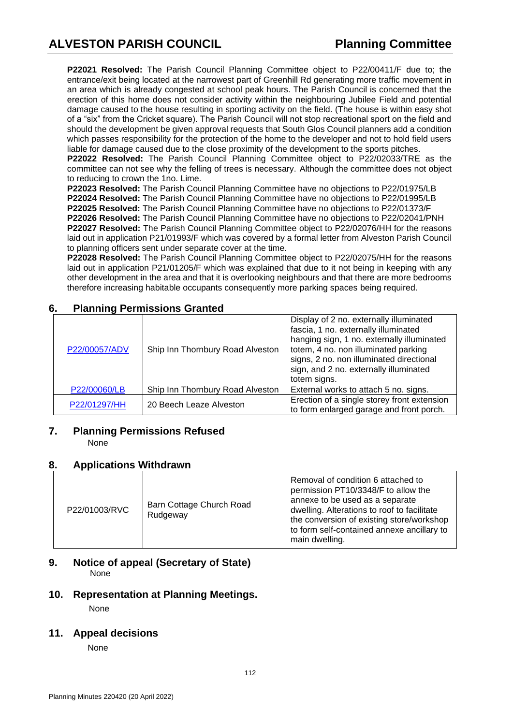**P22021 Resolved:** The Parish Council Planning Committee object to P22/00411/F due to; the entrance/exit being located at the narrowest part of Greenhill Rd generating more traffic movement in an area which is already congested at school peak hours. The Parish Council is concerned that the erection of this home does not consider activity within the neighbouring Jubilee Field and potential damage caused to the house resulting in sporting activity on the field. (The house is within easy shot of a "six" from the Cricket square). The Parish Council will not stop recreational sport on the field and should the development be given approval requests that South Glos Council planners add a condition which passes responsibility for the protection of the home to the developer and not to hold field users liable for damage caused due to the close proximity of the development to the sports pitches.

**P22022 Resolved:** The Parish Council Planning Committee object to P22/02033/TRE as the committee can not see why the felling of trees is necessary. Although the committee does not object to reducing to crown the 1no. Lime.

**P22023 Resolved:** The Parish Council Planning Committee have no objections to P22/01975/LB **P22024 Resolved:** The Parish Council Planning Committee have no objections to P22/01995/LB **P22025 Resolved:** The Parish Council Planning Committee have no objections to P22/01373/F **P22026 Resolved:** The Parish Council Planning Committee have no objections to P22/02041/PNH **P22027 Resolved:** The Parish Council Planning Committee object to P22/02076/HH for the reasons laid out in application P21/01993/F which was covered by a formal letter from Alveston Parish Council to planning officers sent under separate cover at the time.

**P22028 Resolved:** The Parish Council Planning Committee object to P22/02075/HH for the reasons laid out in application P21/01205/F which was explained that due to it not being in keeping with any other development in the area and that it is overlooking neighbours and that there are more bedrooms therefore increasing habitable occupants consequently more parking spaces being required.

| 6. |  | <b>Planning Permissions Granted</b> |  |
|----|--|-------------------------------------|--|
|----|--|-------------------------------------|--|

| P22/00057/ADV | Ship Inn Thornbury Road Alveston | Display of 2 no. externally illuminated<br>fascia, 1 no. externally illuminated<br>hanging sign, 1 no. externally illuminated<br>totem, 4 no. non illuminated parking<br>signs, 2 no. non illuminated directional<br>sign, and 2 no. externally illuminated<br>totem signs. |
|---------------|----------------------------------|-----------------------------------------------------------------------------------------------------------------------------------------------------------------------------------------------------------------------------------------------------------------------------|
| P22/00060/LB  | Ship Inn Thornbury Road Alveston | External works to attach 5 no. signs.                                                                                                                                                                                                                                       |
| P22/01297/HH  | 20 Beech Leaze Alveston          | Erection of a single storey front extension<br>to form enlarged garage and front porch.                                                                                                                                                                                     |

# **7. Planning Permissions Refused**

None

# **8. Applications Withdrawn**

| P22/01003/RVC | Barn Cottage Church Road<br>Rudgeway | Removal of condition 6 attached to<br>permission PT10/3348/F to allow the<br>annexe to be used as a separate<br>dwelling. Alterations to roof to facilitate<br>the conversion of existing store/workshop<br>to form self-contained annexe ancillary to<br>main dwelling. |
|---------------|--------------------------------------|--------------------------------------------------------------------------------------------------------------------------------------------------------------------------------------------------------------------------------------------------------------------------|
|---------------|--------------------------------------|--------------------------------------------------------------------------------------------------------------------------------------------------------------------------------------------------------------------------------------------------------------------------|

## **9. Notice of appeal (Secretary of State)**  None

# **10. Representation at Planning Meetings.**

None

# **11. Appeal decisions**

None